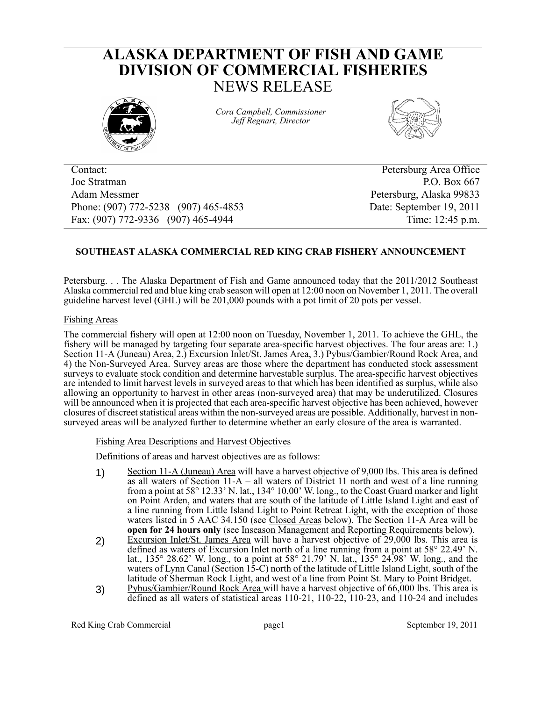# **ALASKA DEPARTMENT OF FISH AND GAME DIVISION OF COMMERCIAL FISHERIES** NEWS RELEASE



*Cora Campbell, Commissioner Jeff Regnart, Director*



Contact: Petersburg Area Office Joe Stratman P.O. Box 667 Adam Messmer Petersburg, Alaska 99833 Phone: (907) 772-5238 (907) 465-4853 Date: September 19, 2011 Fax: (907) 772-9336 (907) 465-4944 Time: 12:45 p.m.

## **SOUTHEAST ALASKA COMMERCIAL RED KING CRAB FISHERY ANNOUNCEMENT**

Petersburg. . . The Alaska Department of Fish and Game announced today that the 2011/2012 Southeast Alaska commercial red and blue king crab season will open at 12:00 noon on November 1, 2011. The overall guideline harvest level (GHL) will be 201,000 pounds with a pot limit of 20 pots per vessel.

## Fishing Areas

The commercial fishery will open at 12:00 noon on Tuesday, November 1, 2011. To achieve the GHL, the fishery will be managed by targeting four separate area-specific harvest objectives. The four areas are: 1.) Section 11-A (Juneau) Area, 2.) Excursion Inlet/St. James Area, 3.) Pybus/Gambier/Round Rock Area, and 4) the Non-Surveyed Area. Survey areas are those where the department has conducted stock assessment surveys to evaluate stock condition and determine harvestable surplus. The area-specific harvest objectives are intended to limit harvest levels in surveyed areas to that which has been identified as surplus, while also allowing an opportunity to harvest in other areas (non-surveyed area) that may be underutilized. Closures will be announced when it is projected that each area-specific harvest objective has been achieved, however closures of discreet statistical areas within the non-surveyed areas are possible. Additionally, harvest in nonsurveyed areas will be analyzed further to determine whether an early closure of the area is warranted.

## Fishing Area Descriptions and Harvest Objectives

Definitions of areas and harvest objectives are as follows:

- 1) Section 11-A (Juneau) Area will have a harvest objective of 9,000 lbs. This area is defined as all waters of Section 11-A – all waters of District 11 north and west of a line running from a point at 58° 12.33' N. lat., 134° 10.00' W. long., to the Coast Guard marker and light on Point Arden, and waters that are south of the latitude of Little Island Light and east of a line running from Little Island Light to Point Retreat Light, with the exception of those waters listed in 5 AAC 34.150 (see Closed Areas below). The Section 11-A Area will be **open for 24 hours only** (see Inseason Management and Reporting Requirements below).
- 2) Excursion Inlet/St. James Area will have a harvest objective of 29,000 lbs. This area is defined as waters of Excursion Inlet north of a line running from a point at 58° 22.49' N. lat., 135° 28.62' W. long., to a point at 58° 21.79' N. lat., 135° 24.98' W. long., and the waters of Lynn Canal (Section 15-C) north of the latitude of Little Island Light, south of the latitude of Sherman Rock Light, and west of a line from Point St. Mary to Point Bridget.
- 3) Pybus/Gambier/Round Rock Area will have a harvest objective of 66,000 lbs. This area is defined as all waters of statistical areas  $110-21$ ,  $110-22$ ,  $110-23$ , and  $110-24$  and includes

Red King Crab Commercial page 1 and page 1 and September 19, 2011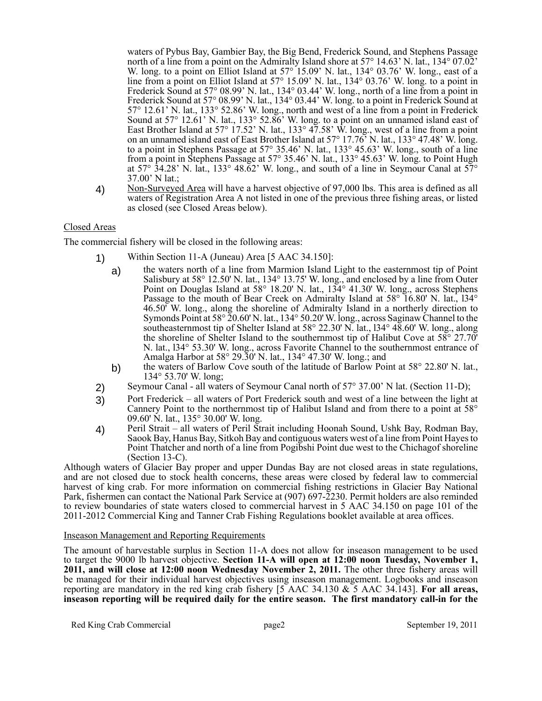waters of Pybus Bay, Gambier Bay, the Big Bend, Frederick Sound, and Stephens Passage north of a line from a point on the Admiralty Island shore at 57° 14.63' N. lat., 134° 07.02' W. long. to a point on Elliot Island at 57° 15.09' N. lat., 134° 03.76' W. long., east of a line from a point on Elliot Island at 57° 15.09' N. lat., 134° 03.76' W. long. to a point in Frederick Sound at 57° 08.99' N. lat., 134° 03.44' W. long., north of a line from a point in Frederick Sound at 57° 08.99' N. lat., 134° 03.44' W. long. to a point in Frederick Sound at 57° 12.61' N. lat., 133° 52.86' W. long., north and west of a line from a point in Frederick Sound at 57° 12.61' N. lat., 133° 52.86' W. long. to a point on an unnamed island east of East Brother Island at 57° 17.52' N. lat., 133° 47.58' W. long., west of a line from a point on an unnamed island east of East Brother Island at 57° 17.76' N. lat., 133° 47.48' W. long. to a point in Stephens Passage at 57° 35.46' N. lat., 133° 45.63' W. long., south of a line from a point in Stephens Passage at 57° 35.46' N. lat., 133° 45.63' W. long. to Point Hugh at  $57^\circ$   $34.28'$  N. lat.,  $133^\circ$   $48.62'$  W. long., and south of a line in Seymour Canal at  $57^\circ$ 37.00' N lat.;

4) Non-Surveyed Area will have a harvest objective of 97,000 lbs. This area is defined as all waters of Registration Area A not listed in one of the previous three fishing areas, or listed as closed (see Closed Areas below).

## Closed Areas

The commercial fishery will be closed in the following areas:

- 1) Within Section 11-A (Juneau) Area [5 AAC 34.150]:
	- a) the waters north of a line from Marmion Island Light to the easternmost tip of Point Salisbury at 58° 12.50' N. lat., 134° 13.75' W. long., and enclosed by a line from Outer Point on Douglas Island at 58° 18.20' N. lat., 134° 41.30' W. long., across Stephens Passage to the mouth of Bear Creek on Admiralty Island at 58° 16.80' N. lat., 134° 46.50' W. long., along the shoreline of Admiralty Island in a northerly direction to Symonds Point at 58° 20.60' N. lat., 134° 50.20' W. long., across Saginaw Channel to the southeasternmost tip of Shelter Island at 58° 22.30' N. lat., l34° 48.60' W. long., along the shoreline of Shelter Island to the southernmost tip of Halibut Cove at 58° 27.70' N. lat., l34° 53.30' W. long., across Favorite Channel to the southernmost entrance of Amalga Harbor at 58° 29.30' N. lat., 134° 47.30' W. long.; and
	- b) the waters of Barlow Cove south of the latitude of Barlow Point at 58° 22.80' N. lat., 134° 53.70' W. long;
- 2) Seymour Canal all waters of Seymour Canal north of 57° 37.00' N lat. (Section 11-D);
- 3) Port Frederick all waters of Port Frederick south and west of a line between the light at Cannery Point to the northernmost tip of Halibut Island and from there to a point at 58° 09.60' N. lat., 135° 30.00' W. long.
- 4) Peril Strait all waters of Peril Strait including Hoonah Sound, Ushk Bay, Rodman Bay, Saook Bay, Hanus Bay, Sitkoh Bay and contiguous waters west of a line from Point Hayes to Point Thatcher and north of a line from Pogibshi Point due west to the Chichagof shoreline (Section 13-C).

Although waters of Glacier Bay proper and upper Dundas Bay are not closed areas in state regulations, and are not closed due to stock health concerns, these areas were closed by federal law to commercial harvest of king crab. For more information on commercial fishing restrictions in Glacier Bay National Park, fishermen can contact the National Park Service at (907) 697-2230. Permit holders are also reminded to review boundaries of state waters closed to commercial harvest in 5 AAC 34.150 on page 101 of the 2011-2012 Commercial King and Tanner Crab Fishing Regulations booklet available at area offices.

## Inseason Management and Reporting Requirements

The amount of harvestable surplus in Section 11-A does not allow for inseason management to be used to target the 9000 lb harvest objective. **Section 11-A will open at 12:00 noon Tuesday, November 1, 2011, and will close at 12:00 noon Wednesday November 2, 2011.** The other three fishery areas will be managed for their individual harvest objectives using inseason management. Logbooks and inseason reporting are mandatory in the red king crab fishery [5 AAC 34.130 & 5 AAC 34.143]. **For all areas, inseason reporting will be required daily for the entire season. The first mandatory call-in for the**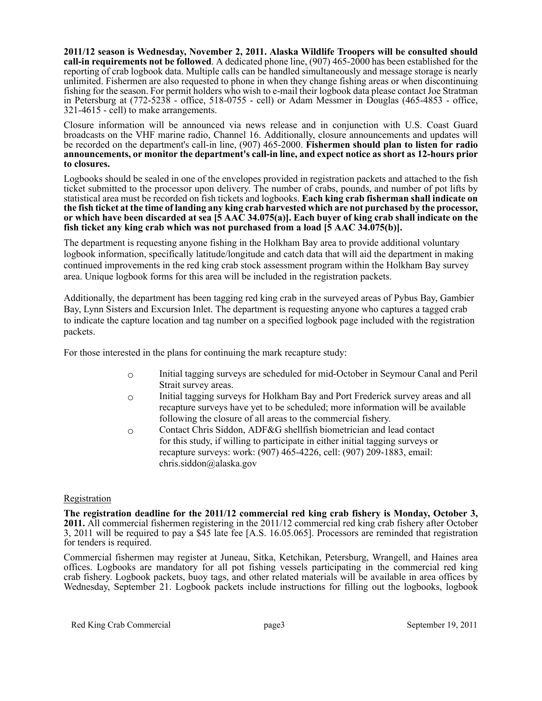**2011/12 season is Wednesday, November 2, 2011. Alaska Wildlife Troopers will be consulted should call-in requirements not be followed**. A dedicated phone line, (907) 465-2000 has been established for the reporting of crab logbook data. Multiple calls can be handled simultaneously and message storage is nearly unlimited. Fishermen are also requested to phone in when they change fishing areas or when discontinuing fishing for the season. For permit holders who wish to e-mail their logbook data please contact Joe Stratman in Petersburg at (772-5238 - office, 518-0755 - cell) or Adam Messmer in Douglas (465-4853 - office, 321-4615 - cell) to make arrangements.

Closure information will be announced via news release and in conjunction with U.S. Coast Guard broadcasts on the VHF marine radio, Channel 16. Additionally, closure announcements and updates will be recorded on the department's call-in line, (907) 465-2000. **Fishermen should plan to listen for radio announcements, or monitor the department's call-in line, and expect notice as short as 12-hours prior to closures.**

Logbooks should be sealed in one of the envelopes provided in registration packets and attached to the fish ticket submitted to the processor upon delivery. The number of crabs, pounds, and number of pot lifts by statistical area must be recorded on fish tickets and logbooks. **Each king crab fisherman shall indicate on the fish ticket at the time of landing any king crab harvested which are not purchased by the processor, or which have been discarded at sea [5 AAC 34.075(a)]. Each buyer of king crab shall indicate on the fish ticket any king crab which was not purchased from a load [5 AAC 34.075(b)].**

The department is requesting anyone fishing in the Holkham Bay area to provide additional voluntary logbook information, specifically latitude/longitude and catch data that will aid the department in making continued improvements in the red king crab stock assessment program within the Holkham Bay survey area. Unique logbook forms for this area will be included in the registration packets.

Additionally, the department has been tagging red king crab in the surveyed areas of Pybus Bay, Gambier Bay, Lynn Sisters and Excursion Inlet. The department is requesting anyone who captures a tagged crab to indicate the capture location and tag number on a specified logbook page included with the registration packets.

For those interested in the plans for continuing the mark recapture study:

- o Initial tagging surveys are scheduled for mid-October in Seymour Canal and Peril Strait survey areas.
- o Initial tagging surveys for Holkham Bay and Port Frederick survey areas and all recapture surveys have yet to be scheduled; more information will be available following the closure of all areas to the commercial fishery.
- o Contact Chris Siddon, ADF&G shellfish biometrician and lead contact for this study, if willing to participate in either initial tagging surveys or recapture surveys: work: (907) 465-4226, cell: (907) 209-1883, email: chris.siddon@alaska.gov

## Registration

**The registration deadline for the 2011/12 commercial red king crab fishery is Monday, October 3, 2011.** All commercial fishermen registering in the 2011/12 commercial red king crab fishery after October 3, 2011 will be required to pay a \$45 late fee [A.S. 16.05.065]. Processors are reminded that registration for tenders is required.

Commercial fishermen may register at Juneau, Sitka, Ketchikan, Petersburg, Wrangell, and Haines area offices. Logbooks are mandatory for all pot fishing vessels participating in the commercial red king crab fishery. Logbook packets, buoy tags, and other related materials will be available in area offices by Wednesday, September 21. Logbook packets include instructions for filling out the logbooks, logbook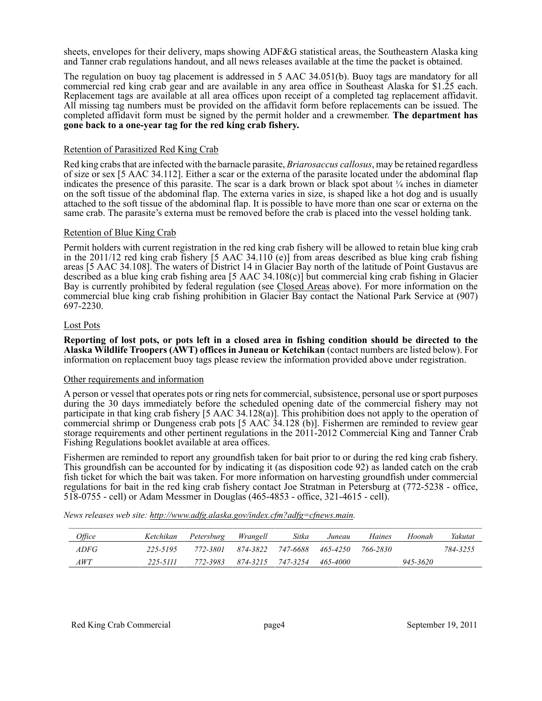sheets, envelopes for their delivery, maps showing ADF&G statistical areas, the Southeastern Alaska king and Tanner crab regulations handout, and all news releases available at the time the packet is obtained.

The regulation on buoy tag placement is addressed in 5 AAC 34.051(b). Buoy tags are mandatory for all commercial red king crab gear and are available in any area office in Southeast Alaska for \$1.25 each. Replacement tags are available at all area offices upon receipt of a completed tag replacement affidavit. All missing tag numbers must be provided on the affidavit form before replacements can be issued. The completed affidavit form must be signed by the permit holder and a crewmember. **The department has gone back to a one-year tag for the red king crab fishery.**

## Retention of Parasitized Red King Crab

Red king crabs that are infected with the barnacle parasite, *Briarosaccus callosus*, may be retained regardless of size or sex [5 AAC 34.112]. Either a scar or the externa of the parasite located under the abdominal flap indicates the presence of this parasite. The scar is a dark brown or black spot about  $\frac{1}{4}$  inches in diameter on the soft tissue of the abdominal flap. The externa varies in size, is shaped like a hot dog and is usually attached to the soft tissue of the abdominal flap. It is possible to have more than one scar or externa on the same crab. The parasite's externa must be removed before the crab is placed into the vessel holding tank.

## Retention of Blue King Crab

Permit holders with current registration in the red king crab fishery will be allowed to retain blue king crab in the 2011/12 red king crab fishery [5 AAC 34.110 (e)] from areas described as blue king crab fishing areas [5 AAC 34.108]. The waters of District 14 in Glacier Bay north of the latitude of Point Gustavus are described as a blue king crab fishing area [5 AAC 34.108(c)] but commercial king crab fishing in Glacier Bay is currently prohibited by federal regulation (see Closed Areas above). For more information on the commercial blue king crab fishing prohibition in Glacier Bay contact the National Park Service at (907) 697-2230.

#### Lost Pots

**Reporting of lost pots, or pots left in a closed area in fishing condition should be directed to the Alaska Wildlife Troopers (AWT) offices in Juneau or Ketchikan** (contact numbers are listed below). For information on replacement buoy tags please review the information provided above under registration.

## Other requirements and information

A person or vessel that operates pots or ring nets for commercial, subsistence, personal use or sport purposes during the 30 days immediately before the scheduled opening date of the commercial fishery may not participate in that king crab fishery [5 AAC 34.128(a)]. This prohibition does not apply to the operation of commercial shrimp or Dungeness crab pots [5 AAC 34.128 (b)]. Fishermen are reminded to review gear storage requirements and other pertinent regulations in the 2011-2012 Commercial King and Tanner Crab Fishing Regulations booklet available at area offices.

Fishermen are reminded to report any groundfish taken for bait prior to or during the red king crab fishery. This groundfish can be accounted for by indicating it (as disposition code 92) as landed catch on the crab fish ticket for which the bait was taken. For more information on harvesting groundfish under commercial regulations for bait in the red king crab fishery contact Joe Stratman in Petersburg at (772-5238 - office, 518-0755 - cell) or Adam Messmer in Douglas (465-4853 - office, 321-4615 - cell).

| Office |          | Ketchikan Petersburg Wrangell |                            | Sitka | Juneau | Haines   | Hoonah   | Yakutat  |
|--------|----------|-------------------------------|----------------------------|-------|--------|----------|----------|----------|
| ADFG   | 225-5195 | 772-3801                      | 874-3822 747-6688 465-4250 |       |        | 766-2830 |          | 784-3255 |
| AWT    | 225-5111 | 772-3983                      | 874-3215 747-3254 465-4000 |       |        |          | 945-3620 |          |

*News releases web site: http://www.adfg.alaska.gov/index.cfm?adfg=cfnews.main.*